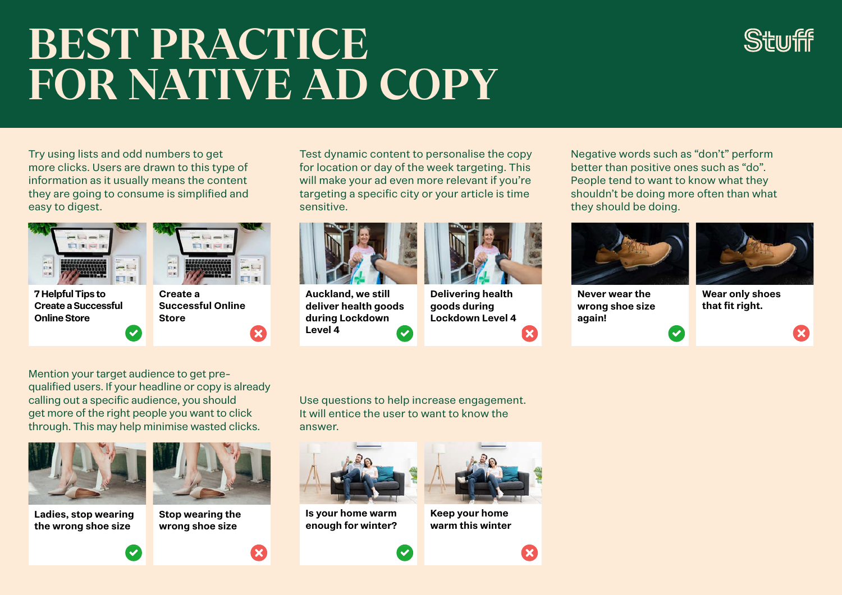## **BEST PRACTICE FOR NATIVE AD COPY**



Try using lists and odd numbers to get more clicks. Users are drawn to this type of information as it usually means the content they are going to consume is simplified and easy to digest.



Test dynamic content to personalise the copy for location or day of the week targeting. This will make your ad even more relevant if you're targeting a specific city or your article is time sensitive.



**Auckland, we still deliver health goods during Lockdown Level 4**  $\overline{\mathbf{v}}$ 



**Delivering health goods during Lockdown Level 4** Negative words such as "don't" perform better than positive ones such as "do". People tend to want to know what they shouldn't be doing more often than what they should be doing.

 $\overline{\mathcal{L}}$ 



**Never wear the wrong shoe size again!**



**Wear only shoes that fit right.**

Mention your target audience to get prequalified users. If your headline or copy is already calling out a specific audience, you should get more of the right people you want to click through. This may help minimise wasted clicks.



**Ladies, stop wearing the wrong shoe size**



**Stop wearing the wrong shoe size**

Use questions to help increase engagement. It will entice the user to want to know the answer.

 $\overline{\mathsf{v}}$ 



**Is your home warm enough for winter?**



**Keep your home warm this winter**